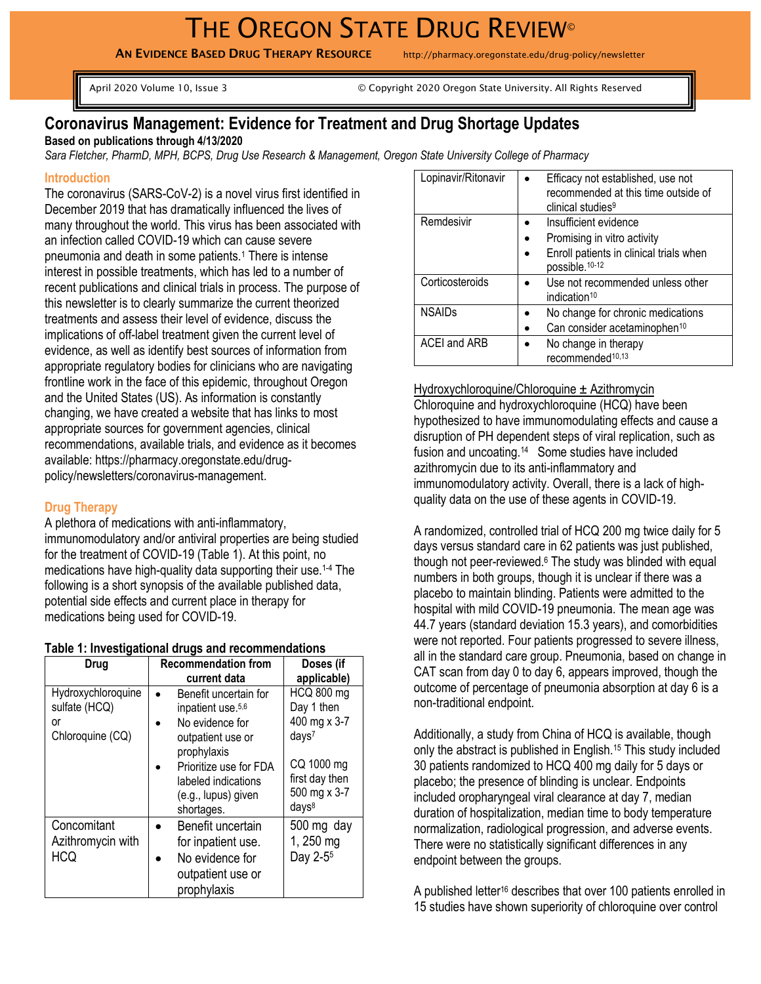# THE OREGON STATE DRUG REVIEW®

AN EVIDENCE BASED DRUG THERAPY RESOURCE http://pharmacy.oregonstate.edu/drug-policy/newsletter

April 2020 Volume 10, Issue 3 © Copyright 2020 Oregon State University. All Rights Reserved

# **Coronavirus Management: Evidence for Treatment and Drug Shortage Updates**

**Based on publications through 4/13/2020**

*Sara Fletcher, PharmD, MPH, BCPS, Drug Use Research & Management, Oregon State University College of Pharmacy*

#### **Introduction**

The coronavirus (SARS-CoV-2) is a novel virus first identified in December 2019 that has dramatically influenced the lives of many throughout the world. This virus has been associated with an infection called COVID-19 which can cause severe pneumonia and death in some patients.<sup>1</sup> There is intense interest in possible treatments, which has led to a number of recent publications and clinical trials in process. The purpose of this newsletter is to clearly summarize the current theorized treatments and assess their level of evidence, discuss the implications of off-label treatment given the current level of evidence, as well as identify best sources of information from appropriate regulatory bodies for clinicians who are navigating frontline work in the face of this epidemic, throughout Oregon and the United States (US). As information is constantly changing, we have created a website that has links to most appropriate sources for government agencies, clinical recommendations, available trials, and evidence as it becomes available: https://pharmacy.oregonstate.edu/drugpolicy/newsletters/coronavirus-management.

# **Drug Therapy**

A plethora of medications with anti-inflammatory, immunomodulatory and/or antiviral properties are being studied for the treatment of COVID-19 (Table 1). At this point, no medications have high-quality data supporting their use. 1-4 The following is a short synopsis of the available published data, potential side effects and current place in therapy for medications being used for COVID-19.

|  |  |  |  | Table 1: Investigational drugs and recommendations |
|--|--|--|--|----------------------------------------------------|
|--|--|--|--|----------------------------------------------------|

| Drug                                                          | <b>Recommendation from</b>                                                                                                                                                                          | Doses (if                                                                                                                                 |
|---------------------------------------------------------------|-----------------------------------------------------------------------------------------------------------------------------------------------------------------------------------------------------|-------------------------------------------------------------------------------------------------------------------------------------------|
|                                                               | current data                                                                                                                                                                                        | applicable)                                                                                                                               |
| Hydroxychloroquine<br>sulfate (HCQ)<br>or<br>Chloroquine (CQ) | Benefit uncertain for<br>inpatient use. <sup>5,6</sup><br>No evidence for<br>outpatient use or<br>prophylaxis<br>Prioritize use for FDA<br>labeled indications<br>(e.g., lupus) given<br>shortages. | <b>HCQ 800 mg</b><br>Day 1 then<br>400 mg x 3-7<br>days <sup>7</sup><br>CQ 1000 mg<br>first day then<br>500 mg x 3-7<br>days <sup>8</sup> |
| Concomitant<br>Azithromycin with<br><b>HCQ</b>                | Benefit uncertain<br>for inpatient use.<br>No evidence for<br>outpatient use or<br>prophylaxis                                                                                                      | 500 mg day<br>1, 250 mg<br>Day 2-5 <sup>5</sup>                                                                                           |

| Lopinavir/Ritonavir | Efficacy not established, use not<br>recommended at this time outside of<br>clinical studies <sup>9</sup>                     |
|---------------------|-------------------------------------------------------------------------------------------------------------------------------|
| Remdesivir          | Insufficient evidence<br>Promising in vitro activity<br>Enroll patients in clinical trials when<br>possible. <sup>10-12</sup> |
| Corticosteroids     | Use not recommended unless other<br>indication <sup>10</sup>                                                                  |
| <b>NSAIDs</b>       | No change for chronic medications<br>Can consider acetaminophen <sup>10</sup>                                                 |
| <b>ACEI and ARB</b> | No change in therapy<br>recommended <sup>10,13</sup>                                                                          |

Hydroxychloroquine/Chloroquine ± Azithromycin Chloroquine and hydroxychloroquine (HCQ) have been hypothesized to have immunomodulating effects and cause a disruption of PH dependent steps of viral replication, such as fusion and uncoating.<sup>14</sup> Some studies have included azithromycin due to its anti-inflammatory and immunomodulatory activity. Overall, there is a lack of highquality data on the use of these agents in COVID-19.

A randomized, controlled trial of HCQ 200 mg twice daily for 5 days versus standard care in 62 patients was just published, though not peer-reviewed.<sup>6</sup> The study was blinded with equal numbers in both groups, though it is unclear if there was a placebo to maintain blinding. Patients were admitted to the hospital with mild COVID-19 pneumonia. The mean age was 44.7 years (standard deviation 15.3 years), and comorbidities were not reported. Four patients progressed to severe illness, all in the standard care group. Pneumonia, based on change in CAT scan from day 0 to day 6, appears improved, though the outcome of percentage of pneumonia absorption at day 6 is a non-traditional endpoint.

Additionally, a study from China of HCQ is available, though only the abstract is published in English.<sup>15</sup> This study included 30 patients randomized to HCQ 400 mg daily for 5 days or placebo; the presence of blinding is unclear. Endpoints included oropharyngeal viral clearance at day 7, median duration of hospitalization, median time to body temperature normalization, radiological progression, and adverse events. There were no statistically significant differences in any endpoint between the groups.

A published letter<sup>16</sup> describes that over 100 patients enrolled in 15 studies have shown superiority of chloroquine over control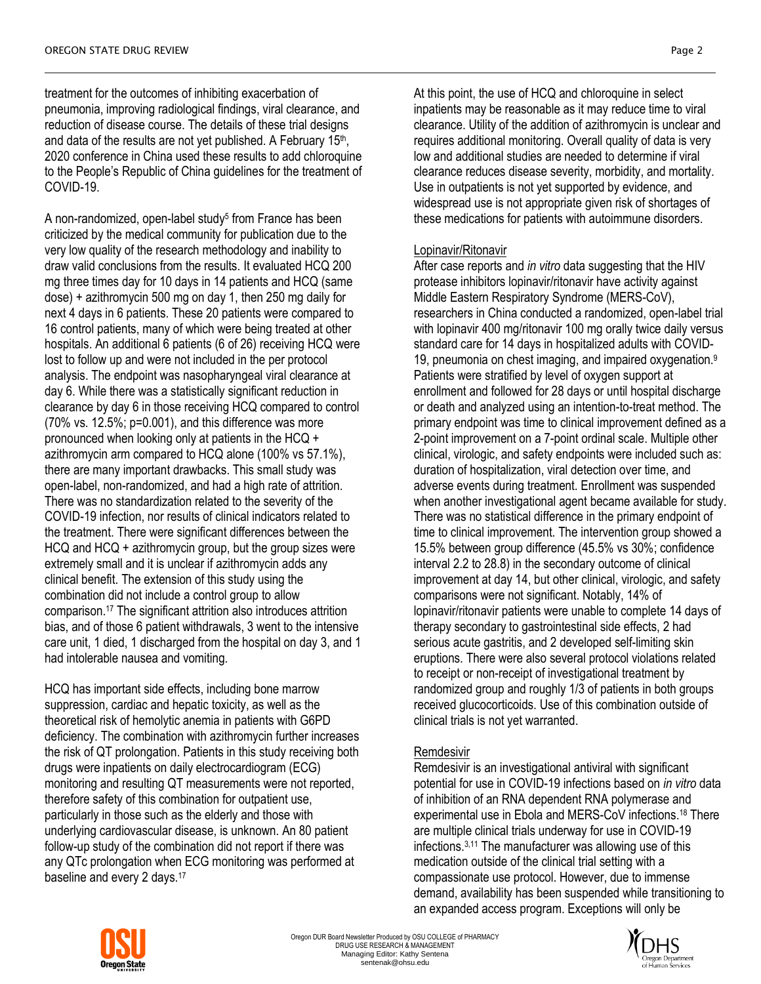treatment for the outcomes of inhibiting exacerbation of pneumonia, improving radiological findings, viral clearance, and reduction of disease course. The details of these trial designs and data of the results are not yet published. A February 15<sup>th</sup>, 2020 conference in China used these results to add chloroquine to the People's Republic of China guidelines for the treatment of COVID-19.

A non-randomized, open-label study<sup>5</sup> from France has been criticized by the medical community for publication due to the very low quality of the research methodology and inability to draw valid conclusions from the results. It evaluated HCQ 200 mg three times day for 10 days in 14 patients and HCQ (same dose) + azithromycin 500 mg on day 1, then 250 mg daily for next 4 days in 6 patients. These 20 patients were compared to 16 control patients, many of which were being treated at other hospitals. An additional 6 patients (6 of 26) receiving HCQ were lost to follow up and were not included in the per protocol analysis. The endpoint was nasopharyngeal viral clearance at day 6. While there was a statistically significant reduction in clearance by day 6 in those receiving HCQ compared to control (70% vs. 12.5%; p=0.001), and this difference was more pronounced when looking only at patients in the HCQ + azithromycin arm compared to HCQ alone (100% vs 57.1%), there are many important drawbacks. This small study was open-label, non-randomized, and had a high rate of attrition. There was no standardization related to the severity of the COVID-19 infection, nor results of clinical indicators related to the treatment. There were significant differences between the HCQ and HCQ + azithromycin group, but the group sizes were extremely small and it is unclear if azithromycin adds any clinical benefit. The extension of this study using the combination did not include a control group to allow comparison.<sup>17</sup> The significant attrition also introduces attrition bias, and of those 6 patient withdrawals, 3 went to the intensive care unit, 1 died, 1 discharged from the hospital on day 3, and 1 had intolerable nausea and vomiting.

HCQ has important side effects, including bone marrow suppression, cardiac and hepatic toxicity, as well as the theoretical risk of hemolytic anemia in patients with G6PD deficiency. The combination with azithromycin further increases the risk of QT prolongation. Patients in this study receiving both drugs were inpatients on daily electrocardiogram (ECG) monitoring and resulting QT measurements were not reported, therefore safety of this combination for outpatient use, particularly in those such as the elderly and those with underlying cardiovascular disease, is unknown. An 80 patient follow-up study of the combination did not report if there was any QTc prolongation when ECG monitoring was performed at baseline and every 2 days.<sup>17</sup>

At this point, the use of HCQ and chloroquine in select inpatients may be reasonable as it may reduce time to viral clearance. Utility of the addition of azithromycin is unclear and requires additional monitoring. Overall quality of data is very low and additional studies are needed to determine if viral clearance reduces disease severity, morbidity, and mortality. Use in outpatients is not yet supported by evidence, and widespread use is not appropriate given risk of shortages of these medications for patients with autoimmune disorders.

# Lopinavir/Ritonavir

After case reports and *in vitro* data suggesting that the HIV protease inhibitors lopinavir/ritonavir have activity against Middle Eastern Respiratory Syndrome (MERS-CoV), researchers in China conducted a randomized, open-label trial with lopinavir 400 mg/ritonavir 100 mg orally twice daily versus standard care for 14 days in hospitalized adults with COVID-19, pneumonia on chest imaging, and impaired oxygenation.<sup>9</sup> Patients were stratified by level of oxygen support at enrollment and followed for 28 days or until hospital discharge or death and analyzed using an intention-to-treat method. The primary endpoint was time to clinical improvement defined as a 2-point improvement on a 7-point ordinal scale. Multiple other clinical, virologic, and safety endpoints were included such as: duration of hospitalization, viral detection over time, and adverse events during treatment. Enrollment was suspended when another investigational agent became available for study. There was no statistical difference in the primary endpoint of time to clinical improvement. The intervention group showed a 15.5% between group difference (45.5% vs 30%; confidence interval 2.2 to 28.8) in the secondary outcome of clinical improvement at day 14, but other clinical, virologic, and safety comparisons were not significant. Notably, 14% of lopinavir/ritonavir patients were unable to complete 14 days of therapy secondary to gastrointestinal side effects, 2 had serious acute gastritis, and 2 developed self-limiting skin eruptions. There were also several protocol violations related to receipt or non-receipt of investigational treatment by randomized group and roughly 1/3 of patients in both groups received glucocorticoids. Use of this combination outside of clinical trials is not yet warranted.

# Remdesivir

Remdesivir is an investigational antiviral with significant potential for use in COVID-19 infections based on *in vitro* data of inhibition of an RNA dependent RNA polymerase and experimental use in Ebola and MERS-CoV infections.<sup>18</sup> There are multiple clinical trials underway for use in COVID-19 infections.3,11 The manufacturer was allowing use of this medication outside of the clinical trial setting with a compassionate use protocol. However, due to immense demand, availability has been suspended while transitioning to an expanded access program. Exceptions will only be



Oregon DUR Board Newsletter Produced by OSU COLLEGE of PHARMACY DRUG USE RESEARCH & MANAGEMENT Managing Editor: Kathy Sentena sentenak@ohsu.edu

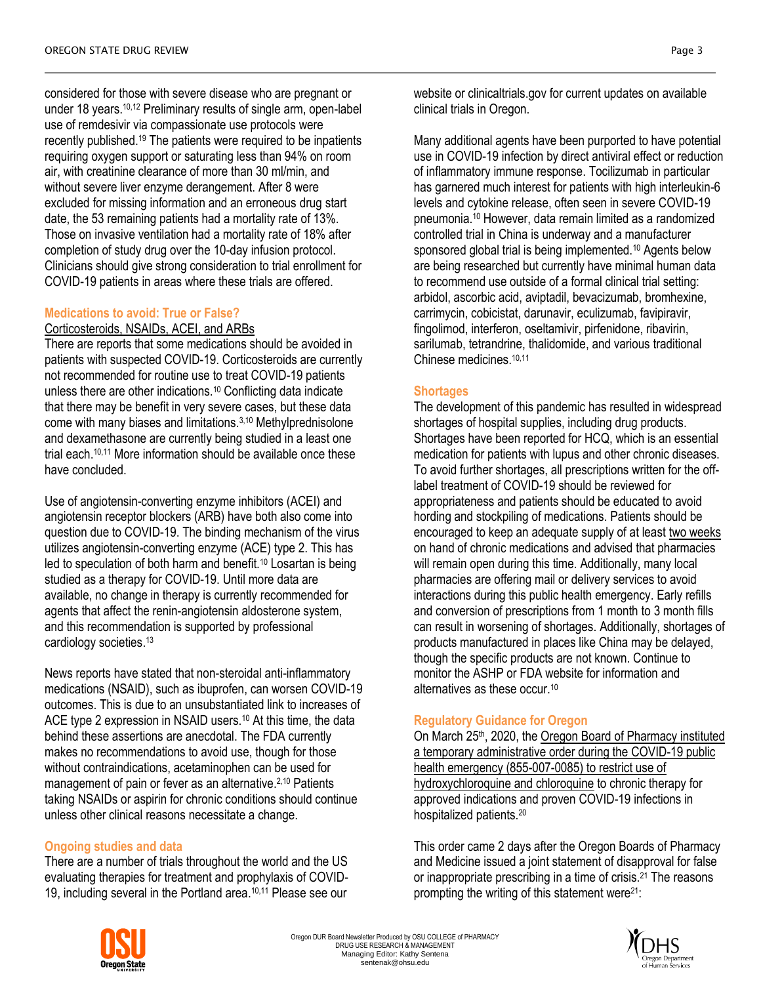considered for those with severe disease who are pregnant or under 18 years.<sup>10,12</sup> Preliminary results of single arm, open-label use of remdesivir via compassionate use protocols were recently published.<sup>19</sup> The patients were required to be inpatients requiring oxygen support or saturating less than 94% on room air, with creatinine clearance of more than 30 ml/min, and without severe liver enzyme derangement. After 8 were excluded for missing information and an erroneous drug start date, the 53 remaining patients had a mortality rate of 13%. Those on invasive ventilation had a mortality rate of 18% after completion of study drug over the 10-day infusion protocol. Clinicians should give strong consideration to trial enrollment for COVID-19 patients in areas where these trials are offered.

# **Medications to avoid: True or False?**

#### Corticosteroids, NSAIDs, ACEI, and ARBs

There are reports that some medications should be avoided in patients with suspected COVID-19. Corticosteroids are currently not recommended for routine use to treat COVID-19 patients unless there are other indications.<sup>10</sup> Conflicting data indicate that there may be benefit in very severe cases, but these data come with many biases and limitations.3,10 Methylprednisolone and dexamethasone are currently being studied in a least one trial each. 10,11 More information should be available once these have concluded.

Use of angiotensin-converting enzyme inhibitors (ACEI) and angiotensin receptor blockers (ARB) have both also come into question due to COVID-19. The binding mechanism of the virus utilizes angiotensin-converting enzyme (ACE) type 2. This has led to speculation of both harm and benefit.<sup>10</sup> Losartan is being studied as a therapy for COVID-19. Until more data are available, no change in therapy is currently recommended for agents that affect the renin-angiotensin aldosterone system, and this recommendation is supported by professional cardiology societies.<sup>13</sup>

News reports have stated that non-steroidal anti-inflammatory medications (NSAID), such as ibuprofen, can worsen COVID-19 outcomes. This is due to an unsubstantiated link to increases of ACE type 2 expression in NSAID users.<sup>10</sup> At this time, the data behind these assertions are anecdotal. The FDA currently makes no recommendations to avoid use, though for those without contraindications, acetaminophen can be used for management of pain or fever as an alternative.<sup>2,10</sup> Patients taking NSAIDs or aspirin for chronic conditions should continue unless other clinical reasons necessitate a change.

# **Ongoing studies and data**

There are a number of trials throughout the world and the US evaluating therapies for treatment and prophylaxis of COVID-19, including several in the Portland area.<sup>10,11</sup> Please see our

website or clinicaltrials.gov for current updates on available clinical trials in Oregon.

Many additional agents have been purported to have potential use in COVID-19 infection by direct antiviral effect or reduction of inflammatory immune response. Tocilizumab in particular has garnered much interest for patients with high interleukin-6 levels and cytokine release, often seen in severe COVID-19 pneumonia.<sup>10</sup> However, data remain limited as a randomized controlled trial in China is underway and a manufacturer sponsored global trial is being implemented.<sup>10</sup> Agents below are being researched but currently have minimal human data to recommend use outside of a formal clinical trial setting: arbidol, ascorbic acid, aviptadil, bevacizumab, bromhexine, carrimycin, cobicistat, darunavir, eculizumab, favipiravir, fingolimod, interferon, oseltamivir, pirfenidone, ribavirin, sarilumab, tetrandrine, thalidomide, and various traditional Chinese medicines.10,11

# **Shortages**

The development of this pandemic has resulted in widespread shortages of hospital supplies, including drug products. Shortages have been reported for HCQ, which is an essential medication for patients with lupus and other chronic diseases. To avoid further shortages, all prescriptions written for the offlabel treatment of COVID-19 should be reviewed for appropriateness and patients should be educated to avoid hording and stockpiling of medications. Patients should be encouraged to keep an adequate supply of at least two weeks on hand of chronic medications and advised that pharmacies will remain open during this time. Additionally, many local pharmacies are offering mail or delivery services to avoid interactions during this public health emergency. Early refills and conversion of prescriptions from 1 month to 3 month fills can result in worsening of shortages. Additionally, shortages of products manufactured in places like China may be delayed, though the specific products are not known. Continue to monitor the ASHP or FDA website for information and alternatives as these occur.<sup>10</sup>

# **Regulatory Guidance for Oregon**

On March 25<sup>th</sup>, 2020, the Oregon Board of Pharmacy instituted a temporary administrative order during the COVID-19 public health emergency (855-007-0085) to restrict use of hydroxychloroquine and chloroquine to chronic therapy for approved indications and proven COVID-19 infections in hospitalized patients.<sup>20</sup>

This order came 2 days after the Oregon Boards of Pharmacy and Medicine issued a joint statement of disapproval for false or inappropriate prescribing in a time of crisis.<sup>21</sup> The reasons prompting the writing of this statement were<sup>21</sup>:



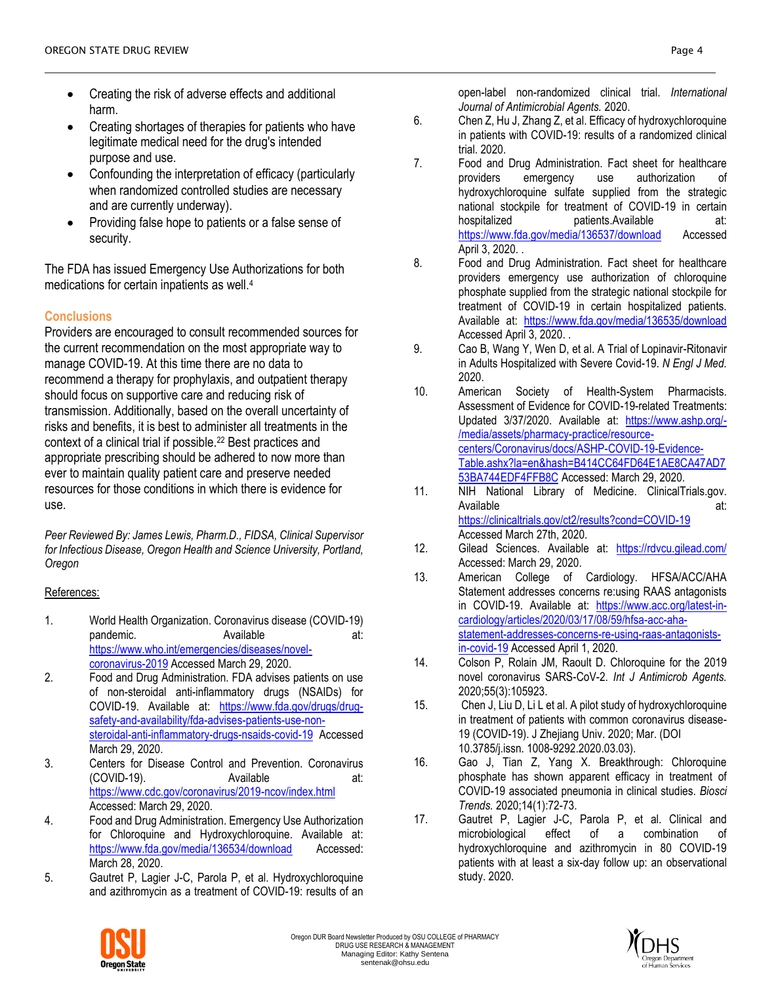- Creating the risk of adverse effects and additional harm.
- Creating shortages of therapies for patients who have legitimate medical need for the drug's intended purpose and use.
- Confounding the interpretation of efficacy (particularly when randomized controlled studies are necessary and are currently underway).
- Providing false hope to patients or a false sense of security.

The FDA has issued Emergency Use Authorizations for both medications for certain inpatients as well.<sup>4</sup>

# **Conclusions**

Providers are encouraged to consult recommended sources for the current recommendation on the most appropriate way to manage COVID-19. At this time there are no data to recommend a therapy for prophylaxis, and outpatient therapy should focus on supportive care and reducing risk of transmission. Additionally, based on the overall uncertainty of risks and benefits, it is best to administer all treatments in the context of a clinical trial if possible.<sup>22</sup> Best practices and appropriate prescribing should be adhered to now more than ever to maintain quality patient care and preserve needed resources for those conditions in which there is evidence for use.

*Peer Reviewed By: James Lewis, Pharm.D., FIDSA, Clinical Supervisor for Infectious Disease, Oregon Health and Science University, Portland, Oregon* 

# References:

- 1. World Health Organization. Coronavirus disease (COVID-19) pandemic. Available at: [https://www.who.int/emergencies/diseases/novel](https://www.who.int/emergencies/diseases/novel-coronavirus-2019)[coronavirus-2019](https://www.who.int/emergencies/diseases/novel-coronavirus-2019) Accessed March 29, 2020.
- 2. Food and Drug Administration. FDA advises patients on use of non-steroidal anti-inflammatory drugs (NSAIDs) for COVID-19. Available at: [https://www.fda.gov/drugs/drug](https://www.fda.gov/drugs/drug-safety-and-availability/fda-advises-patients-use-non-steroidal-anti-inflammatory-drugs-nsaids-covid-19)[safety-and-availability/fda-advises-patients-use-non](https://www.fda.gov/drugs/drug-safety-and-availability/fda-advises-patients-use-non-steroidal-anti-inflammatory-drugs-nsaids-covid-19)[steroidal-anti-inflammatory-drugs-nsaids-covid-19](https://www.fda.gov/drugs/drug-safety-and-availability/fda-advises-patients-use-non-steroidal-anti-inflammatory-drugs-nsaids-covid-19) Accessed March 29, 2020.
- 3. Centers for Disease Control and Prevention. Coronavirus (COVID-19). Available at: <https://www.cdc.gov/coronavirus/2019-ncov/index.html> Accessed: March 29, 2020.
- 4. Food and Drug Administration. Emergency Use Authorization for Chloroquine and Hydroxychloroquine. Available at: <https://www.fda.gov/media/136534/download> Accessed: March 28, 2020.
- 5. Gautret P, Lagier J-C, Parola P, et al. Hydroxychloroquine and azithromycin as a treatment of COVID-19: results of an

open-label non-randomized clinical trial. *International Journal of Antimicrobial Agents.* 2020.

- 6. Chen Z, Hu J, Zhang Z, et al. Efficacy of hydroxychloroquine in patients with COVID-19: results of a randomized clinical trial. 2020.
- 7. Food and Drug Administration. Fact sheet for healthcare providers emergency use authorization of hydroxychloroquine sulfate supplied from the strategic national stockpile for treatment of COVID-19 in certain hospitalized patients.Available at: <https://www.fda.gov/media/136537/download> Accessed April 3, 2020. .
- 8. Food and Drug Administration. Fact sheet for healthcare providers emergency use authorization of chloroquine phosphate supplied from the strategic national stockpile for treatment of COVID-19 in certain hospitalized patients. Available at: <https://www.fda.gov/media/136535/download> Accessed April 3, 2020. .
- 9. Cao B, Wang Y, Wen D, et al. A Trial of Lopinavir-Ritonavir in Adults Hospitalized with Severe Covid-19. *N Engl J Med.*  2020.
- 10. American Society of Health-System Pharmacists. Assessment of Evidence for COVID-19-related Treatments: Updated 3/37/2020. Available at: [https://www.ashp.org/-](https://www.ashp.org/-/media/assets/pharmacy-practice/resource-centers/Coronavirus/docs/ASHP-COVID-19-Evidence-Table.ashx?la=en&hash=B414CC64FD64E1AE8CA47AD753BA744EDF4FFB8C) [/media/assets/pharmacy-practice/resource](https://www.ashp.org/-/media/assets/pharmacy-practice/resource-centers/Coronavirus/docs/ASHP-COVID-19-Evidence-Table.ashx?la=en&hash=B414CC64FD64E1AE8CA47AD753BA744EDF4FFB8C)[centers/Coronavirus/docs/ASHP-COVID-19-Evidence-](https://www.ashp.org/-/media/assets/pharmacy-practice/resource-centers/Coronavirus/docs/ASHP-COVID-19-Evidence-Table.ashx?la=en&hash=B414CC64FD64E1AE8CA47AD753BA744EDF4FFB8C)[Table.ashx?la=en&hash=B414CC64FD64E1AE8CA47AD7](https://www.ashp.org/-/media/assets/pharmacy-practice/resource-centers/Coronavirus/docs/ASHP-COVID-19-Evidence-Table.ashx?la=en&hash=B414CC64FD64E1AE8CA47AD753BA744EDF4FFB8C) [53BA744EDF4FFB8C](https://www.ashp.org/-/media/assets/pharmacy-practice/resource-centers/Coronavirus/docs/ASHP-COVID-19-Evidence-Table.ashx?la=en&hash=B414CC64FD64E1AE8CA47AD753BA744EDF4FFB8C) Accessed: March 29, 2020.
- 11. NIH National Library of Medicine. ClinicalTrials.gov. Available at: <https://clinicaltrials.gov/ct2/results?cond=COVID-19> Accessed March 27th, 2020.
- 12. Gilead Sciences. Available at: <https://rdvcu.gilead.com/> Accessed: March 29, 2020.
- 13. American College of Cardiology. HFSA/ACC/AHA Statement addresses concerns re:using RAAS antagonists in COVID-19. Available at: [https://www.acc.org/latest-in](https://www.acc.org/latest-in-cardiology/articles/2020/03/17/08/59/hfsa-acc-aha-statement-addresses-concerns-re-using-raas-antagonists-in-covid-19)[cardiology/articles/2020/03/17/08/59/hfsa-acc-aha](https://www.acc.org/latest-in-cardiology/articles/2020/03/17/08/59/hfsa-acc-aha-statement-addresses-concerns-re-using-raas-antagonists-in-covid-19)[statement-addresses-concerns-re-using-raas-antagonists](https://www.acc.org/latest-in-cardiology/articles/2020/03/17/08/59/hfsa-acc-aha-statement-addresses-concerns-re-using-raas-antagonists-in-covid-19)[in-covid-19](https://www.acc.org/latest-in-cardiology/articles/2020/03/17/08/59/hfsa-acc-aha-statement-addresses-concerns-re-using-raas-antagonists-in-covid-19) Accessed April 1, 2020.
- 14. Colson P, Rolain JM, Raoult D. Chloroquine for the 2019 novel coronavirus SARS-CoV-2. *Int J Antimicrob Agents.*  2020;55(3):105923.
- 15. Chen J, Liu D, Li L et al. A pilot study of hydroxychloroquine in treatment of patients with common coronavirus disease-19 (COVID-19). J Zhejiang Univ. 2020; Mar. (DOI 10.3785/j.issn. 1008-9292.2020.03.03).
- 16. Gao J, Tian Z, Yang X. Breakthrough: Chloroquine phosphate has shown apparent efficacy in treatment of COVID-19 associated pneumonia in clinical studies. *Biosci Trends.* 2020;14(1):72-73.
- 17. Gautret P, Lagier J-C, Parola P, et al. Clinical and microbiological effect of a combination of hydroxychloroquine and azithromycin in 80 COVID-19 patients with at least a six-day follow up: an observational study. 2020.